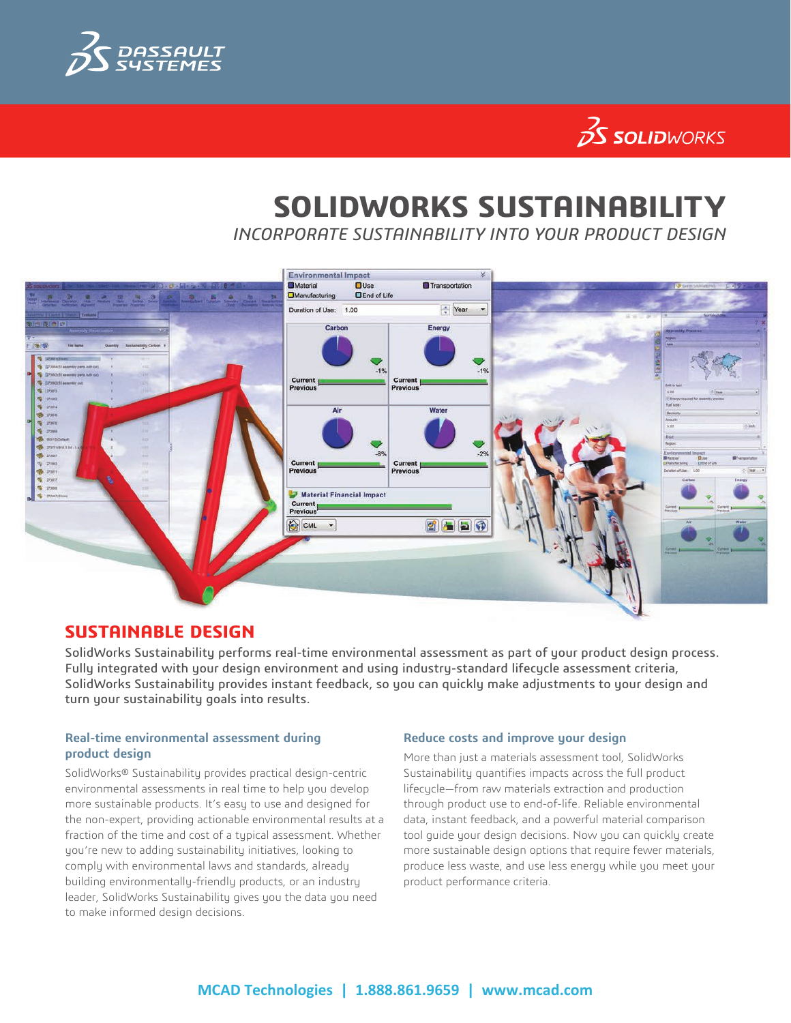

# $35$  SOLIDWORKS

## **SOLIDWORKS SUSTAINABILITY**

*INCORPORATE SUSTAINABILITY INTO YOUR PRODUCT DESIGN*



### **SUSTAINABLE DESIGN**

SolidWorks Sustainability performs real-time environmental assessment as part of your product design process. Fully integrated with your design environment and using industry-standard lifecycle assessment criteria, SolidWorks Sustainability provides instant feedback, so you can quickly make adjustments to your design and turn your sustainability goals into results.

#### **Real-time environmental assessment during product design**

SolidWorks® Sustainability provides practical design-centric environmental assessments in real time to help you develop more sustainable products. It's easy to use and designed for the non-expert, providing actionable environmental results at a fraction of the time and cost of a typical assessment. Whether you're new to adding sustainability initiatives, looking to comply with environmental laws and standards, already building environmentally-friendly products, or an industry leader, SolidWorks Sustainability gives you the data you need to make informed design decisions.

#### **Reduce costs and improve your design**

More than just a materials assessment tool, SolidWorks Sustainability quantifies impacts across the full product lifecycle—from raw materials extraction and production through product use to end-of-life. Reliable environmental data, instant feedback, and a powerful material comparison tool guide your design decisions. Now you can quickly create more sustainable design options that require fewer materials, produce less waste, and use less energy while you meet your product performance criteria.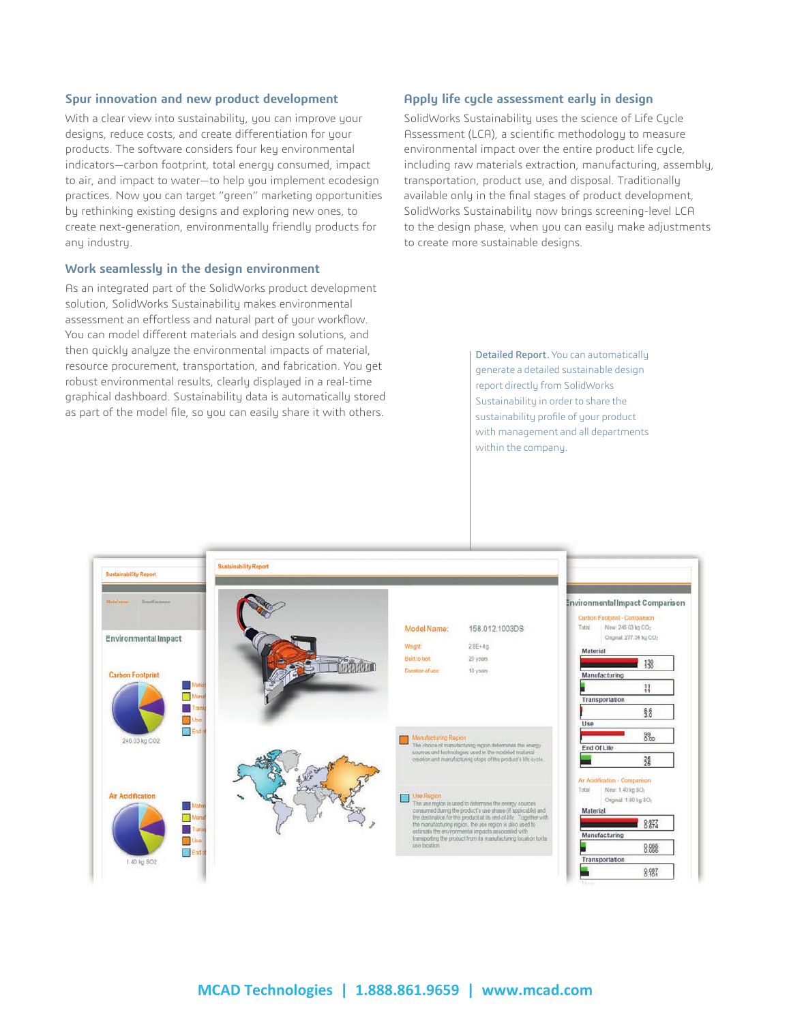#### **Spur innovation and new product development**

With a clear view into sustainability, you can improve your designs, reduce costs, and create differentiation for your products. The software considers four key environmental indicators—carbon footprint, total energy consumed, impact to air, and impact to water—to help you implement ecodesign practices. Now you can target "green" marketing opportunities by rethinking existing designs and exploring new ones, to create next-generation, environmentally friendly products for any industry.

#### **Work seamlessly in the design environment**

As an integrated part of the SolidWorks product development solution, SolidWorks Sustainability makes environmental assessment an effortless and natural part of your workflow. You can model different materials and design solutions, and then quickly analyze the environmental impacts of material, resource procurement, transportation, and fabrication. You get robust environmental results, clearly displayed in a real-time graphical dashboard. Sustainability data is automatically stored as part of the model file, so you can easily share it with others.

#### **Apply life cycle assessment early in design**

SolidWorks Sustainability uses the science of Life Cycle Assessment (LCA), a scientific methodology to measure environmental impact over the entire product life cycle, including raw materials extraction, manufacturing, assembly, transportation, product use, and disposal. Traditionally available only in the final stages of product development, SolidWorks Sustainability now brings screening-level LCA to the design phase, when you can easily make adjustments to create more sustainable designs.

> Detailed Report. You can automatically generate a detailed sustainable design report directly from SolidWorks Sustainability in order to share the sustainability profile of your product with management and all departments within the company.

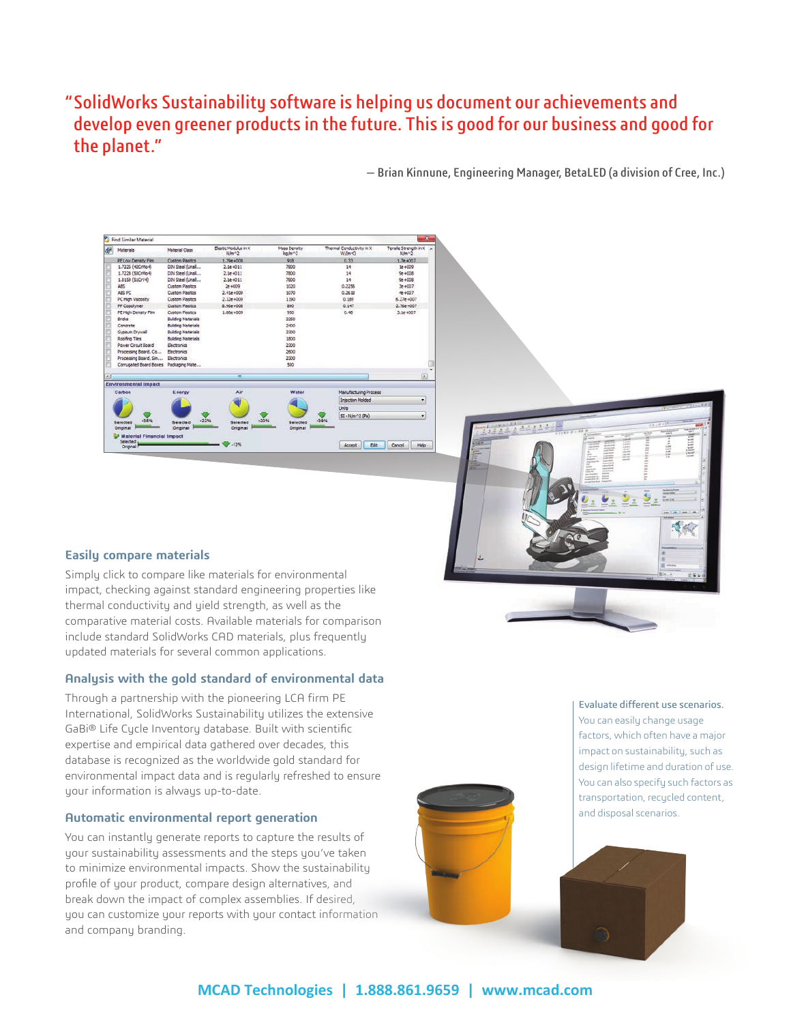### "SolidWorks Sustainability software is helping us document our achievements and develop even greener products in the future. This is good for our business and good for the planet."

— Brian Kinnune, Engineering Manager, BetaLED (a division of Cree, Inc.)



#### **Easily compare materials**

Simply click to compare like materials for environmental impact, checking against standard engineering properties like thermal conductivity and yield strength, as well as the comparative material costs. Available materials for comparison include standard SolidWorks CAD materials, plus frequently updated materials for several common applications.

#### **Analysis with the gold standard of environmental data**

Through a partnership with the pioneering LCA firm PE International, SolidWorks Sustainability utilizes the extensive GaBi® Life Cycle Inventory database. Built with scientific expertise and empirical data gathered over decades, this database is recognized as the worldwide gold standard for environmental impact data and is regularly refreshed to ensure your information is always up-to-date.

#### **Automatic environmental report generation**

You can instantly generate reports to capture the results of your sustainability assessments and the steps you've taken to minimize environmental impacts. Show the sustainability profile of your product, compare design alternatives, and break down the impact of complex assemblies. If desired, you can customize your reports with your contact information and company branding.



#### Evaluate different use scenarios. You can easily change usage factors, which often have a major impact on sustainability, such as design lifetime and duration of use. You can also specify such factors as transportation, recycled content, and disposal scenarios.

浅究

**MCAD Technologies | 1.888.861.9659 | www.mcad.com**